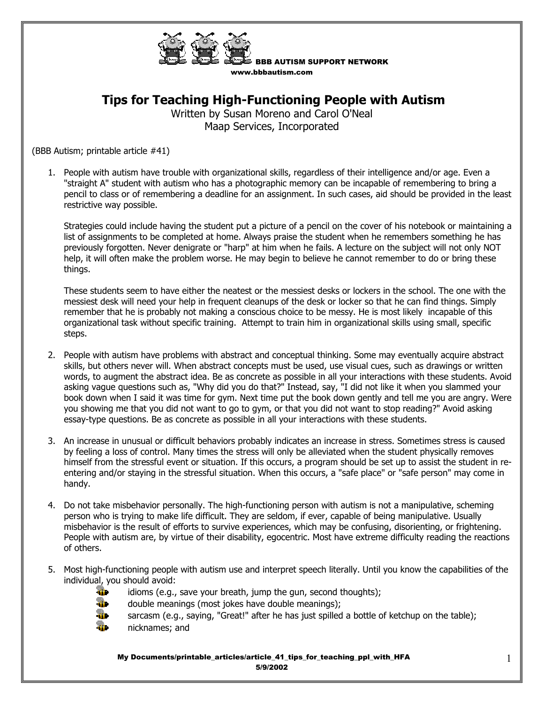

BBB AUTISM SUPPORT NETWORK www.bbbautism.com

## **Tips for Teaching High-Functioning People with Autism**

Written by Susan Moreno and Carol O'Neal Maap Services, Incorporated

(BBB Autism; printable article #41)

1. People with autism have trouble with organizational skills, regardless of their intelligence and/or age. Even a "straight A" student with autism who has a photographic memory can be incapable of remembering to bring a pencil to class or of remembering a deadline for an assignment. In such cases, aid should be provided in the least restrictive way possible.

Strategies could include having the student put a picture of a pencil on the cover of his notebook or maintaining a list of assignments to be completed at home. Always praise the student when he remembers something he has previously forgotten. Never denigrate or "harp" at him when he fails. A lecture on the subject will not only NOT help, it will often make the problem worse. He may begin to believe he cannot remember to do or bring these things.

These students seem to have either the neatest or the messiest desks or lockers in the school. The one with the messiest desk will need your help in frequent cleanups of the desk or locker so that he can find things. Simply remember that he is probably not making a conscious choice to be messy. He is most likely incapable of this organizational task without specific training. Attempt to train him in organizational skills using small, specific steps.

- 2. People with autism have problems with abstract and conceptual thinking. Some may eventually acquire abstract skills, but others never will. When abstract concepts must be used, use visual cues, such as drawings or written words, to augment the abstract idea. Be as concrete as possible in all your interactions with these students. Avoid asking vague questions such as, "Why did you do that?" Instead, say, "I did not like it when you slammed your book down when I said it was time for gym. Next time put the book down gently and tell me you are angry. Were you showing me that you did not want to go to gym, or that you did not want to stop reading?" Avoid asking essay-type questions. Be as concrete as possible in all your interactions with these students.
- 3. An increase in unusual or difficult behaviors probably indicates an increase in stress. Sometimes stress is caused by feeling a loss of control. Many times the stress will only be alleviated when the student physically removes himself from the stressful event or situation. If this occurs, a program should be set up to assist the student in reentering and/or staying in the stressful situation. When this occurs, a "safe place" or "safe person" may come in handy.
- 4. Do not take misbehavior personally. The high-functioning person with autism is not a manipulative, scheming person who is trying to make life difficult. They are seldom, if ever, capable of being manipulative. Usually misbehavior is the result of efforts to survive experiences, which may be confusing, disorienting, or frightening. People with autism are, by virtue of their disability, egocentric. Most have extreme difficulty reading the reactions of others.
- 5. Most high-functioning people with autism use and interpret speech literally. Until you know the capabilities of the individual, you should avoid:



- idioms (e.g., save your breath, jump the gun, second thoughts);<br> $\mathbf{a}$  double meanings (most jokes have double meanings);
	- double meanings (most jokes have double meanings);



My Documents/printable\_articles/article\_41\_tips\_for\_teaching\_ppl\_with\_HFA 5/9/2002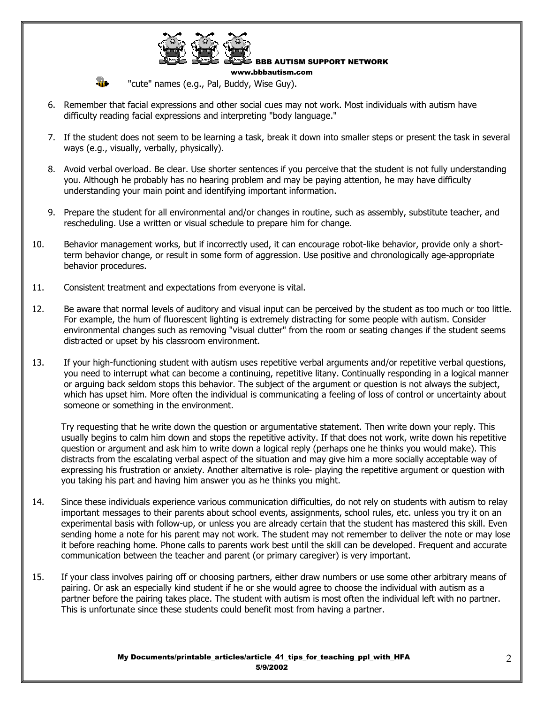

BBB AUTISM SUPPORT NETWORK

**The Case of Case Constants** (e.g., Pal, Buddy, Wise Guy).

6. Remember that facial expressions and other social cues may not work. Most individuals with autism have difficulty reading facial expressions and interpreting "body language."

www.bbbautism.com

- 7. If the student does not seem to be learning a task, break it down into smaller steps or present the task in several ways (e.g., visually, verbally, physically).
- 8. Avoid verbal overload. Be clear. Use shorter sentences if you perceive that the student is not fully understanding you. Although he probably has no hearing problem and may be paying attention, he may have difficulty understanding your main point and identifying important information.
- 9. Prepare the student for all environmental and/or changes in routine, such as assembly, substitute teacher, and rescheduling. Use a written or visual schedule to prepare him for change.
- 10. Behavior management works, but if incorrectly used, it can encourage robot-like behavior, provide only a shortterm behavior change, or result in some form of aggression. Use positive and chronologically age-appropriate behavior procedures.
- 11. Consistent treatment and expectations from everyone is vital.
- 12. Be aware that normal levels of auditory and visual input can be perceived by the student as too much or too little. For example, the hum of fluorescent lighting is extremely distracting for some people with autism. Consider environmental changes such as removing "visual clutter" from the room or seating changes if the student seems distracted or upset by his classroom environment.
- 13. If your high-functioning student with autism uses repetitive verbal arguments and/or repetitive verbal questions, you need to interrupt what can become a continuing, repetitive litany. Continually responding in a logical manner or arguing back seldom stops this behavior. The subject of the argument or question is not always the subject, which has upset him. More often the individual is communicating a feeling of loss of control or uncertainty about someone or something in the environment.

Try requesting that he write down the question or argumentative statement. Then write down your reply. This usually begins to calm him down and stops the repetitive activity. If that does not work, write down his repetitive question or argument and ask him to write down a logical reply (perhaps one he thinks you would make). This distracts from the escalating verbal aspect of the situation and may give him a more socially acceptable way of expressing his frustration or anxiety. Another alternative is role- playing the repetitive argument or question with you taking his part and having him answer you as he thinks you might.

- 14. Since these individuals experience various communication difficulties, do not rely on students with autism to relay important messages to their parents about school events, assignments, school rules, etc. unless you try it on an experimental basis with follow-up, or unless you are already certain that the student has mastered this skill. Even sending home a note for his parent may not work. The student may not remember to deliver the note or may lose it before reaching home. Phone calls to parents work best until the skill can be developed. Frequent and accurate communication between the teacher and parent (or primary caregiver) is very important.
- 15. If your class involves pairing off or choosing partners, either draw numbers or use some other arbitrary means of pairing. Or ask an especially kind student if he or she would agree to choose the individual with autism as a partner before the pairing takes place. The student with autism is most often the individual left with no partner. This is unfortunate since these students could benefit most from having a partner.